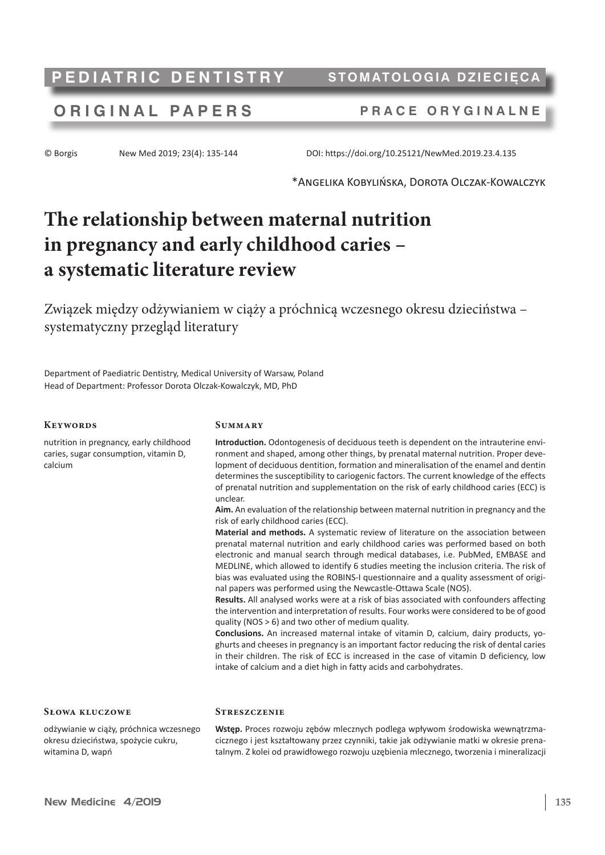# **PEDIATRIC DENTISTRY** STOMATOLOGIA DZIECIĘC

## **ORIGINAL P A P ERS P RACE ORYGINALNE**

© Borgis New Med 2019; 23(4): 135-144 DOI: https://doi.org/10.25121/NewMed.2019.23.4.135

\*Angelika Kobylińska, Dorota Olczak-Kowalczyk

# **The relationship between maternal nutrition in pregnancy and early childhood caries – a systematic literature review**

Związek między odżywianiem w ciąży a próchnicą wczesnego okresu dzieciństwa – systematyczny przegląd literatury

Department of Paediatric Dentistry, Medical University of Warsaw, Poland Head of Department: Professor Dorota Olczak-Kowalczyk, MD, PhD

#### **Keywords**

calcium

**Summary**

**Streszczenie**

**Introduction.** Odontogenesis of deciduous teeth is dependent on the intrauterine environment and shaped, among other things, by prenatal maternal nutrition. Proper development of deciduous dentition, formation and mineralisation of the enamel and dentin determines the susceptibility to cariogenic factors. The current knowledge of the effects of prenatal nutrition and supplementation on the risk of early childhood caries (ECC) is unclear. nutrition in pregnancy, early childhood caries, sugar consumption, vitamin D,

**Aim.** An evaluation of the relationship between maternal nutrition in pregnancy and the risk of early childhood caries (ECC).

**Material and methods.** A systematic review of literature on the association between prenatal maternal nutrition and early childhood caries was performed based on both electronic and manual search through medical databases, i.e. PubMed, EMBASE and MEDLINE, which allowed to identify 6 studies meeting the inclusion criteria. The risk of bias was evaluated using the ROBINS-I questionnaire and a quality assessment of original papers was performed using the Newcastle-Ottawa Scale (NOS).

**Results.** All analysed works were at a risk of bias associated with confounders affecting the intervention and interpretation of results. Four works were considered to be of good quality (NOS > 6) and two other of medium quality.

**Conclusions.** An increased maternal intake of vitamin D, calcium, dairy products, yoghurts and cheeses in pregnancy is an important factor reducing the risk of dental caries in their children. The risk of ECC is increased in the case of vitamin D deficiency, low intake of calcium and a diet high in fatty acids and carbohydrates.

#### **Słowa kluczowe**

odżywianie w ciąży, próchnica wczesnego okresu dzieciństwa, spożycie cukru, witamina D, wapń

**Wstęp.** Proces rozwoju zębów mlecznych podlega wpływom środowiska wewnątrzmacicznego i jest kształtowany przez czynniki, takie jak odżywianie matki w okresie prenatalnym. Z kolei od prawidłowego rozwoju uzębienia mlecznego, tworzenia i mineralizacji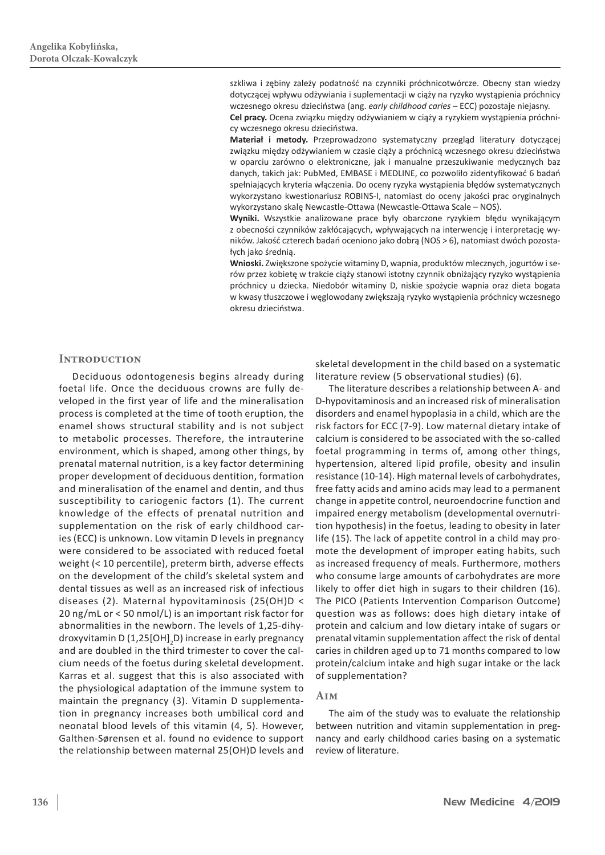szkliwa i zębiny zależy podatność na czynniki próchnicotwórcze. Obecny stan wiedzy dotyczącej wpływu odżywiania i suplementacji w ciąży na ryzyko wystąpienia próchnicy wczesnego okresu dzieciństwa (ang. *early childhood caries* – ECC) pozostaje niejasny. **Cel pracy.** Ocena związku między odżywianiem w ciąży a ryzykiem wystąpienia próchnicy wczesnego okresu dzieciństwa.

**Materiał i metody.** Przeprowadzono systematyczny przegląd literatury dotyczącej związku między odżywianiem w czasie ciąży a próchnicą wczesnego okresu dzieciństwa w oparciu zarówno o elektroniczne, jak i manualne przeszukiwanie medycznych baz danych, takich jak: PubMed, EMBASE i MEDLINE, co pozwoliło zidentyfikować 6 badań spełniających kryteria włączenia. Do oceny ryzyka wystąpienia błędów systematycznych wykorzystano kwestionariusz ROBINS-I, natomiast do oceny jakości prac oryginalnych wykorzystano skalę Newcastle-Ottawa (Newcastle-Ottawa Scale – NOS).

**Wyniki.** Wszystkie analizowane prace były obarczone ryzykiem błędu wynikającym z obecności czynników zakłócających, wpływających na interwencję i interpretację wyników. Jakość czterech badań oceniono jako dobrą (NOS > 6), natomiast dwóch pozostałych jako średnią.

**Wnioski.** Zwiększone spożycie witaminy D, wapnia, produktów mlecznych, jogurtów i serów przez kobietę w trakcie ciąży stanowi istotny czynnik obniżający ryzyko wystąpienia próchnicy u dziecka. Niedobór witaminy D, niskie spożycie wapnia oraz dieta bogata w kwasy tłuszczowe i węglowodany zwiększają ryzyko wystąpienia próchnicy wczesnego okresu dzieciństwa.

### **INTRODUCTION**

Deciduous odontogenesis begins already during foetal life. Once the deciduous crowns are fully developed in the first year of life and the mineralisation process is completed at the time of tooth eruption, the enamel shows structural stability and is not subject to metabolic processes. Therefore, the intrauterine environment, which is shaped, among other things, by prenatal maternal nutrition, is a key factor determining proper development of deciduous dentition, formation and mineralisation of the enamel and dentin, and thus susceptibility to cariogenic factors (1). The current knowledge of the effects of prenatal nutrition and supplementation on the risk of early childhood caries (ECC) is unknown. Low vitamin D levels in pregnancy were considered to be associated with reduced foetal weight (< 10 percentile), preterm birth, adverse effects on the development of the child's skeletal system and dental tissues as well as an increased risk of infectious diseases (2). Maternal hypovitaminosis (25(OH)D < 20 ng/mL or < 50 nmol/L) is an important risk factor for abnormalities in the newborn. The levels of 1,25-dihydroxyvitamin D (1,25[OH]<sub>2</sub>D) increase in early pregnancy and are doubled in the third trimester to cover the calcium needs of the foetus during skeletal development. Karras et al. suggest that this is also associated with the physiological adaptation of the immune system to maintain the pregnancy (3). Vitamin D supplementation in pregnancy increases both umbilical cord and neonatal blood levels of this vitamin (4, 5). However, Galthen-Sørensen et al. found no evidence to support the relationship between maternal 25(OH)D levels and

skeletal development in the child based on a systematic literature review (5 observational studies) (6).

The literature describes a relationship between A- and D-hypovitaminosis and an increased risk of mineralisation disorders and enamel hypoplasia in a child, which are the risk factors for ECC (7-9). Low maternal dietary intake of calcium is considered to be associated with the so-called foetal programming in terms of, among other things, hypertension, altered lipid profile, obesity and insulin resistance (10-14). High maternal levels of carbohydrates, free fatty acids and amino acids may lead to a permanent change in appetite control, neuroendocrine function and impaired energy metabolism (developmental overnutrition hypothesis) in the foetus, leading to obesity in later life (15). The lack of appetite control in a child may promote the development of improper eating habits, such as increased frequency of meals. Furthermore, mothers who consume large amounts of carbohydrates are more likely to offer diet high in sugars to their children (16). The PICO (Patients Intervention Comparison Outcome) question was as follows: does high dietary intake of protein and calcium and low dietary intake of sugars or prenatal vitamin supplementation affect the risk of dental caries in children aged up to 71 months compared to low protein/calcium intake and high sugar intake or the lack of supplementation?

#### **Aim**

The aim of the study was to evaluate the relationship between nutrition and vitamin supplementation in pregnancy and early childhood caries basing on a systematic review of literature.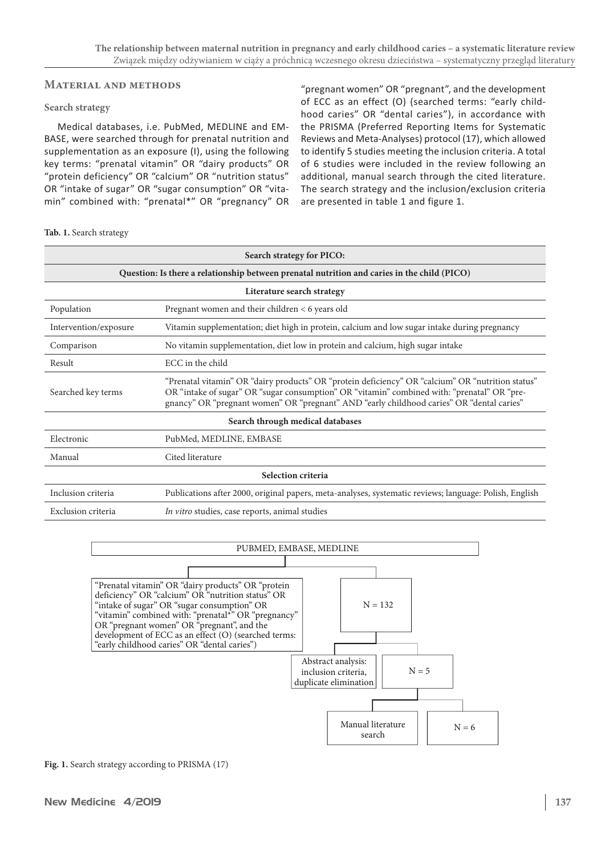#### **Material and methods**

#### **Search strategy**

Medical databases, i.e. PubMed, MEDLINE and EM-BASE, were searched through for prenatal nutrition and supplementation as an exposure (I), using the following key terms: "prenatal vitamin" OR "dairy products" OR "protein deficiency" OR "calcium" OR "nutrition status" OR "intake of sugar" OR "sugar consumption" OR "vitamin" combined with: "prenatal\*" OR "pregnancy" OR

"pregnant women" OR "pregnant", and the development of ECC as an effect (O) (searched terms: "early childhood caries" OR "dental caries"), in accordance with the PRISMA (Preferred Reporting Items for Systematic Reviews and Meta-Analyses) protocol (17), which allowed to identify 5 studies meeting the inclusion criteria. A total of 6 studies were included in the review following an additional, manual search through the cited literature. The search strategy and the inclusion/exclusion criteria are presented in table 1 and figure 1.

#### **Tab. 1.** Search strategy

| Search strategy for PICO:                                                                   |                                                                                                                                                                                                                                                                                               |  |  |  |
|---------------------------------------------------------------------------------------------|-----------------------------------------------------------------------------------------------------------------------------------------------------------------------------------------------------------------------------------------------------------------------------------------------|--|--|--|
| Question: Is there a relationship between prenatal nutrition and caries in the child (PICO) |                                                                                                                                                                                                                                                                                               |  |  |  |
| Literature search strategy                                                                  |                                                                                                                                                                                                                                                                                               |  |  |  |
| Population                                                                                  | Pregnant women and their children < 6 years old                                                                                                                                                                                                                                               |  |  |  |
| Intervention/exposure                                                                       | Vitamin supplementation; diet high in protein, calcium and low sugar intake during pregnancy                                                                                                                                                                                                  |  |  |  |
| Comparison                                                                                  | No vitamin supplementation, diet low in protein and calcium, high sugar intake                                                                                                                                                                                                                |  |  |  |
| Result                                                                                      | ECC in the child                                                                                                                                                                                                                                                                              |  |  |  |
| Searched key terms                                                                          | "Prenatal vitamin" OR "dairy products" OR "protein deficiency" OR "calcium" OR "nutrition status"<br>OR "intake of sugar" OR "sugar consumption" OR "vitamin" combined with: "prenatal" OR "pre-<br>gnancy" OR "pregnant women" OR "pregnant" AND "early childhood caries" OR "dental caries" |  |  |  |
| Search through medical databases                                                            |                                                                                                                                                                                                                                                                                               |  |  |  |
| Electronic                                                                                  | PubMed, MEDLINE, EMBASE                                                                                                                                                                                                                                                                       |  |  |  |
| Manual                                                                                      | Cited literature                                                                                                                                                                                                                                                                              |  |  |  |
| Selection criteria                                                                          |                                                                                                                                                                                                                                                                                               |  |  |  |
| Inclusion criteria                                                                          | Publications after 2000, original papers, meta-analyses, systematic reviews; language: Polish, English                                                                                                                                                                                        |  |  |  |
| Exclusion criteria                                                                          | <i>In vitro</i> studies, case reports, animal studies                                                                                                                                                                                                                                         |  |  |  |



**Fig. 1.** Search strategy according to PRISMA (17)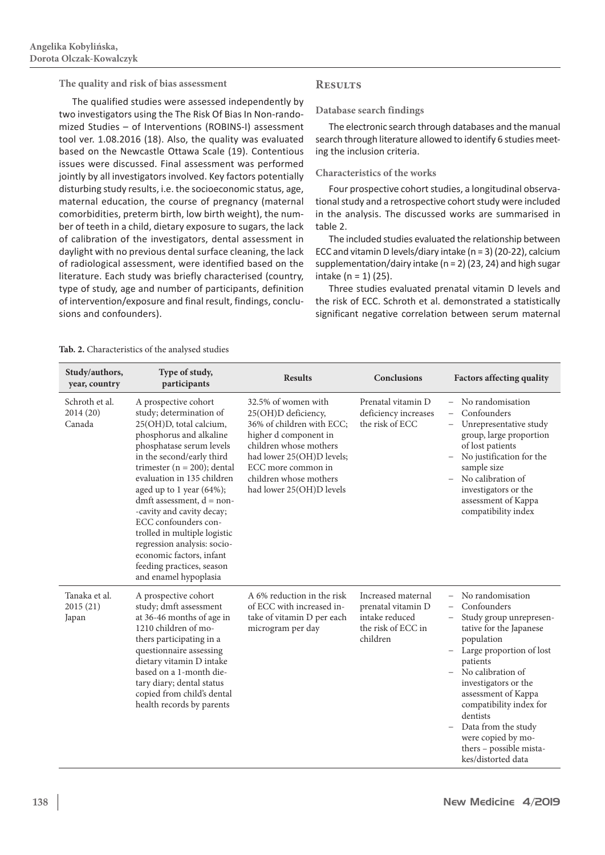**The quality and risk of bias assessment** 

The qualified studies were assessed independently by two investigators using the The Risk Of Bias In Non-randomized Studies – of Interventions (ROBINS-I) assessment tool ver. 1.08.2016 (18). Also, the quality was evaluated based on the Newcastle Ottawa Scale (19). Contentious issues were discussed. Final assessment was performed jointly by all investigators involved. Key factors potentially disturbing study results, i.e. the socioeconomic status, age, maternal education, the course of pregnancy (maternal comorbidities, preterm birth, low birth weight), the number of teeth in a child, dietary exposure to sugars, the lack of calibration of the investigators, dental assessment in daylight with no previous dental surface cleaning, the lack of radiological assessment, were identified based on the literature. Each study was briefly characterised (country, type of study, age and number of participants, definition of intervention/exposure and final result, findings, conclusions and confounders).

### **Results**

#### **Database search findings**

The electronic search through databases and the manual search through literature allowed to identify 6 studies meeting the inclusion criteria.

#### **Characteristics of the works**

Four prospective cohort studies, a longitudinal observational study and a retrospective cohort study were included in the analysis. The discussed works are summarised in table 2.

The included studies evaluated the relationship between ECC and vitamin D levels/diary intake (n = 3) (20-22), calcium supplementation/dairy intake (n = 2) (23, 24) and high sugar intake  $(n = 1)$  (25).

Three studies evaluated prenatal vitamin D levels and the risk of ECC. Schroth et al. demonstrated a statistically significant negative correlation between serum maternal

#### **Tab. 2.** Characteristics of the analysed studies

| Study/authors,<br>year, country       | Type of study,<br>participants                                                                                                                                                                                                                                                                                                                                                                                                                                                                      | <b>Results</b>                                                                                                                                                                                                                      | <b>Conclusions</b>                                                                           | <b>Factors affecting quality</b>                                                                                                                                                                                                                                                                                                                                                   |
|---------------------------------------|-----------------------------------------------------------------------------------------------------------------------------------------------------------------------------------------------------------------------------------------------------------------------------------------------------------------------------------------------------------------------------------------------------------------------------------------------------------------------------------------------------|-------------------------------------------------------------------------------------------------------------------------------------------------------------------------------------------------------------------------------------|----------------------------------------------------------------------------------------------|------------------------------------------------------------------------------------------------------------------------------------------------------------------------------------------------------------------------------------------------------------------------------------------------------------------------------------------------------------------------------------|
| Schroth et al.<br>2014 (20)<br>Canada | A prospective cohort<br>study; determination of<br>25(OH)D, total calcium,<br>phosphorus and alkaline<br>phosphatase serum levels<br>in the second/early third<br>trimester ( $n = 200$ ); dental<br>evaluation in 135 children<br>aged up to 1 year $(64%)$ ;<br>dmft assessment, $d = non-$<br>-cavity and cavity decay;<br>ECC confounders con-<br>trolled in multiple logistic<br>regression analysis: socio-<br>economic factors, infant<br>feeding practices, season<br>and enamel hypoplasia | 32.5% of women with<br>25(OH)D deficiency,<br>36% of children with ECC;<br>higher d component in<br>children whose mothers<br>had lower 25(OH)D levels;<br>ECC more common in<br>children whose mothers<br>had lower 25(OH)D levels | Prenatal vitamin D<br>deficiency increases<br>the risk of ECC                                | No randomisation<br>Confounders<br>$\overline{\phantom{0}}$<br>Unrepresentative study<br>$\overline{\phantom{0}}$<br>group, large proportion<br>of lost patients<br>No justification for the<br>sample size<br>No calibration of<br>investigators or the<br>assessment of Kappa<br>compatibility index                                                                             |
| Tanaka et al.<br>2015 (21)<br>Japan   | A prospective cohort<br>study; dmft assessment<br>at 36-46 months of age in<br>1210 children of mo-<br>thers participating in a<br>questionnaire assessing<br>dietary vitamin D intake<br>based on a 1-month die-<br>tary diary; dental status<br>copied from child's dental<br>health records by parents                                                                                                                                                                                           | A 6% reduction in the risk<br>of ECC with increased in-<br>take of vitamin D per each<br>microgram per day                                                                                                                          | Increased maternal<br>prenatal vitamin D<br>intake reduced<br>the risk of ECC in<br>children | No randomisation<br>Confounders<br>$\overline{\phantom{0}}$<br>Study group unrepresen-<br>tative for the Japanese<br>population<br>Large proportion of lost<br>patients<br>- No calibration of<br>investigators or the<br>assessment of Kappa<br>compatibility index for<br>dentists<br>Data from the study<br>were copied by mo-<br>thers - possible mista-<br>kes/distorted data |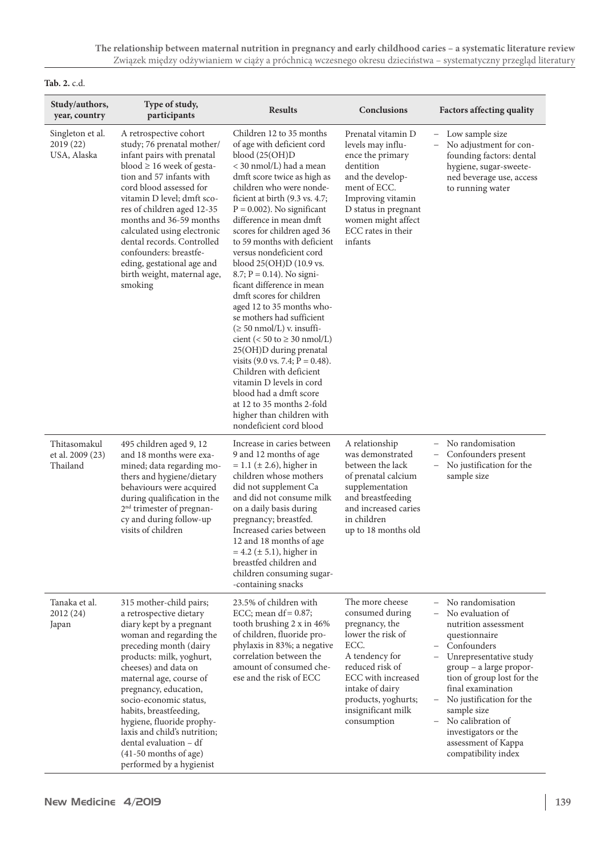### **Tab. 2.** c.d.

| Study/authors,<br>year, country              | Type of study,<br>participants                                                                                                                                                                                                                                                                                                                                                                                                                | <b>Results</b>                                                                                                                                                                                                                                                                                                                                                                                                                                                                                                                                                                                                                                                                                                                                                                                                                                                      | Conclusions                                                                                                                                                                                                                 | <b>Factors affecting quality</b>                                                                                                                                                                                                                                                                                                                                            |
|----------------------------------------------|-----------------------------------------------------------------------------------------------------------------------------------------------------------------------------------------------------------------------------------------------------------------------------------------------------------------------------------------------------------------------------------------------------------------------------------------------|---------------------------------------------------------------------------------------------------------------------------------------------------------------------------------------------------------------------------------------------------------------------------------------------------------------------------------------------------------------------------------------------------------------------------------------------------------------------------------------------------------------------------------------------------------------------------------------------------------------------------------------------------------------------------------------------------------------------------------------------------------------------------------------------------------------------------------------------------------------------|-----------------------------------------------------------------------------------------------------------------------------------------------------------------------------------------------------------------------------|-----------------------------------------------------------------------------------------------------------------------------------------------------------------------------------------------------------------------------------------------------------------------------------------------------------------------------------------------------------------------------|
| Singleton et al.<br>2019 (22)<br>USA, Alaska | A retrospective cohort<br>study; 76 prenatal mother/<br>infant pairs with prenatal<br>blood $\geq$ 16 week of gesta-<br>tion and 57 infants with<br>cord blood assessed for<br>vitamin D level; dmft sco-<br>res of children aged 12-35<br>months and 36-59 months<br>calculated using electronic<br>dental records. Controlled<br>confounders: breastfe-<br>eding, gestational age and<br>birth weight, maternal age,<br>smoking             | Children 12 to 35 months<br>of age with deficient cord<br>blood (25(OH)D)<br>< 30 nmol/L) had a mean<br>dmft score twice as high as<br>children who were nonde-<br>ficient at birth (9.3 vs. 4.7;<br>$P = 0.002$ ). No significant<br>difference in mean dmft<br>scores for children aged 36<br>to 59 months with deficient<br>versus nondeficient cord<br>blood 25(OH)D (10.9 vs.<br>$8.7; P = 0.14$ ). No signi-<br>ficant difference in mean<br>dmft scores for children<br>aged 12 to 35 months who-<br>se mothers had sufficient<br>$(\geq 50 \text{ nmol/L})$ v. insuffi-<br>cient (< 50 to $\geq$ 30 nmol/L)<br>25(OH)D during prenatal<br>visits $(9.0 \text{ vs. } 7.4; P = 0.48)$ .<br>Children with deficient<br>vitamin D levels in cord<br>blood had a dmft score<br>at 12 to 35 months 2-fold<br>higher than children with<br>nondeficient cord blood | Prenatal vitamin D<br>levels may influ-<br>ence the primary<br>dentition<br>and the develop-<br>ment of ECC.<br>Improving vitamin<br>D status in pregnant<br>women might affect<br>ECC rates in their<br>infants            | Low sample size<br>$-$<br>No adjustment for con-<br>founding factors: dental<br>hygiene, sugar-sweete-<br>ned beverage use, access<br>to running water                                                                                                                                                                                                                      |
| Thitasomakul<br>et al. 2009 (23)<br>Thailand | 495 children aged 9, 12<br>and 18 months were exa-<br>mined; data regarding mo-<br>thers and hygiene/dietary<br>behaviours were acquired<br>during qualification in the<br>2 <sup>nd</sup> trimester of pregnan-<br>cy and during follow-up<br>visits of children                                                                                                                                                                             | Increase in caries between<br>9 and 12 months of age<br>$= 1.1 \ (\pm 2.6)$ , higher in<br>children whose mothers<br>did not supplement Ca<br>and did not consume milk<br>on a daily basis during<br>pregnancy; breastfed.<br>Increased caries between<br>12 and 18 months of age<br>$= 4.2 \ (\pm 5.1)$ , higher in<br>breastfed children and<br>children consuming sugar-<br>-containing snacks                                                                                                                                                                                                                                                                                                                                                                                                                                                                   | A relationship<br>was demonstrated<br>between the lack<br>of prenatal calcium<br>supplementation<br>and breastfeeding<br>and increased caries<br>in children<br>up to 18 months old                                         | - No randomisation<br>Confounders present<br>No justification for the<br>$\overline{\phantom{0}}$<br>sample size                                                                                                                                                                                                                                                            |
| Tanaka et al.<br>2012(24)<br>Japan           | 315 mother-child pairs;<br>a retrospective dietary<br>diary kept by a pregnant<br>woman and regarding the<br>preceding month (dairy<br>products: milk, yoghurt,<br>cheeses) and data on<br>maternal age, course of<br>pregnancy, education,<br>socio-economic status,<br>habits, breastfeeding,<br>hygiene, fluoride prophy-<br>laxis and child's nutrition;<br>dental evaluation - df<br>$(41-50$ months of age)<br>performed by a hygienist | 23.5% of children with<br>ECC; mean $df = 0.87$ ;<br>tooth brushing 2 x in 46%<br>of children, fluoride pro-<br>phylaxis in 83%; a negative<br>correlation between the<br>amount of consumed che-<br>ese and the risk of ECC                                                                                                                                                                                                                                                                                                                                                                                                                                                                                                                                                                                                                                        | The more cheese<br>consumed during<br>pregnancy, the<br>lower the risk of<br>ECC.<br>A tendency for<br>reduced risk of<br>ECC with increased<br>intake of dairy<br>products, yoghurts;<br>insignificant milk<br>consumption | No randomisation<br>No evaluation of<br>nutrition assessment<br>questionnaire<br>Confounders<br>-<br>Unrepresentative study<br>group - a large propor-<br>tion of group lost for the<br>final examination<br>No justification for the<br>sample size<br>No calibration of<br>$\overline{\phantom{0}}$<br>investigators or the<br>assessment of Kappa<br>compatibility index |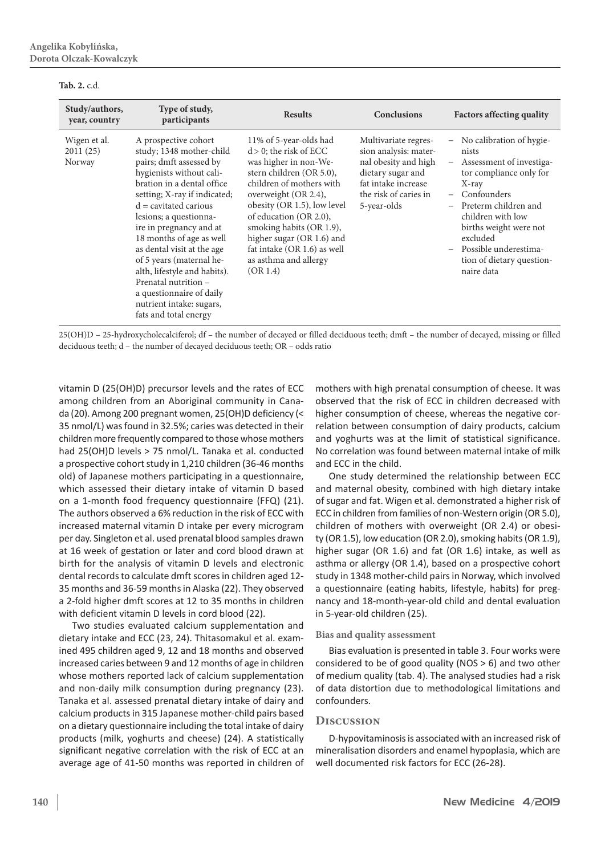#### **Tab. 2.** c.d.

| Study/authors,<br>year, country    | Type of study,<br>participants                                                                                                                                                                                                                                                                                                                                                                                                                                                       | <b>Results</b>                                                                                                                                                                                                                                                                                                                                     | <b>Conclusions</b>                                                                                                                                        | <b>Factors affecting quality</b>                                                                                                                                                                                                                                                                                                                             |
|------------------------------------|--------------------------------------------------------------------------------------------------------------------------------------------------------------------------------------------------------------------------------------------------------------------------------------------------------------------------------------------------------------------------------------------------------------------------------------------------------------------------------------|----------------------------------------------------------------------------------------------------------------------------------------------------------------------------------------------------------------------------------------------------------------------------------------------------------------------------------------------------|-----------------------------------------------------------------------------------------------------------------------------------------------------------|--------------------------------------------------------------------------------------------------------------------------------------------------------------------------------------------------------------------------------------------------------------------------------------------------------------------------------------------------------------|
| Wigen et al.<br>2011(25)<br>Norway | A prospective cohort<br>study; 1348 mother-child<br>pairs; dmft assessed by<br>hygienists without cali-<br>bration in a dental office<br>setting; X-ray if indicated;<br>$d =$ cavitated carious<br>lesions; a questionna-<br>ire in pregnancy and at<br>18 months of age as well<br>as dental visit at the age<br>of 5 years (maternal he-<br>alth, lifestyle and habits).<br>Prenatal nutrition -<br>a questionnaire of daily<br>nutrient intake: sugars,<br>fats and total energy | 11% of 5-year-olds had<br>$d > 0$ ; the risk of ECC<br>was higher in non-We-<br>stern children (OR 5.0),<br>children of mothers with<br>overweight (OR 2.4),<br>obesity (OR 1.5), low level<br>of education (OR 2.0),<br>smoking habits (OR 1.9),<br>higher sugar (OR 1.6) and<br>fat intake (OR 1.6) as well<br>as asthma and allergy<br>(OR 1.4) | Multivariate regres-<br>sion analysis: mater-<br>nal obesity and high<br>dietary sugar and<br>fat intake increase<br>the risk of caries in<br>5-year-olds | No calibration of hygie-<br>$\overline{\phantom{0}}$<br>nists<br>Assessment of investiga-<br>$\qquad \qquad -$<br>tor compliance only for<br>$X$ -ray<br>Confounders<br>$\overline{\phantom{0}}$<br>Preterm children and<br>-<br>children with low<br>births weight were not<br>excluded<br>Possible underestima-<br>tion of dietary question-<br>naire data |

25(OH)D – 25-hydroxycholecalciferol; df – the number of decayed or filled deciduous teeth; dmft – the number of decayed, missing or filled deciduous teeth; d – the number of decayed deciduous teeth; OR – odds ratio

vitamin D (25(OH)D) precursor levels and the rates of ECC among children from an Aboriginal community in Canada (20). Among 200 pregnant women, 25(OH)D deficiency (< 35 nmol/L) was found in 32.5%; caries was detected in their children more frequently compared to those whose mothers had 25(OH)D levels > 75 nmol/L. Tanaka et al. conducted a prospective cohort study in 1,210 children (36-46 months old) of Japanese mothers participating in a questionnaire, which assessed their dietary intake of vitamin D based on a 1-month food frequency questionnaire (FFQ) (21). The authors observed a 6% reduction in the risk of ECC with increased maternal vitamin D intake per every microgram per day. Singleton et al. used prenatal blood samples drawn at 16 week of gestation or later and cord blood drawn at birth for the analysis of vitamin D levels and electronic dental records to calculate dmft scores in children aged 12- 35 months and 36-59 months in Alaska (22). They observed a 2-fold higher dmft scores at 12 to 35 months in children with deficient vitamin D levels in cord blood (22).

Two studies evaluated calcium supplementation and dietary intake and ECC (23, 24). Thitasomakul et al. examined 495 children aged 9, 12 and 18 months and observed increased caries between 9 and 12 months of age in children whose mothers reported lack of calcium supplementation and non-daily milk consumption during pregnancy (23). Tanaka et al. assessed prenatal dietary intake of dairy and calcium products in 315 Japanese mother-child pairs based on a dietary questionnaire including the total intake of dairy products (milk, yoghurts and cheese) (24). A statistically significant negative correlation with the risk of ECC at an average age of 41-50 months was reported in children of

mothers with high prenatal consumption of cheese. It was observed that the risk of ECC in children decreased with higher consumption of cheese, whereas the negative correlation between consumption of dairy products, calcium and yoghurts was at the limit of statistical significance. No correlation was found between maternal intake of milk and ECC in the child.

One study determined the relationship between ECC and maternal obesity, combined with high dietary intake of sugar and fat. Wigen et al. demonstrated a higher risk of ECC in children from families of non-Western origin (OR 5.0), children of mothers with overweight (OR 2.4) or obesity (OR 1.5), low education (OR 2.0), smoking habits(OR 1.9), higher sugar (OR 1.6) and fat (OR 1.6) intake, as well as asthma or allergy (OR 1.4), based on a prospective cohort study in 1348 mother-child pairs in Norway, which involved a questionnaire (eating habits, lifestyle, habits) for pregnancy and 18-month-year-old child and dental evaluation in 5-year-old children (25).

#### **Bias and quality assessment**

Bias evaluation is presented in table 3. Four works were considered to be of good quality (NOS > 6) and two other of medium quality (tab. 4). The analysed studies had a risk of data distortion due to methodological limitations and confounders.

#### **Discussion**

D-hypovitaminosis is associated with an increased risk of mineralisation disorders and enamel hypoplasia, which are well documented risk factors for ECC (26-28).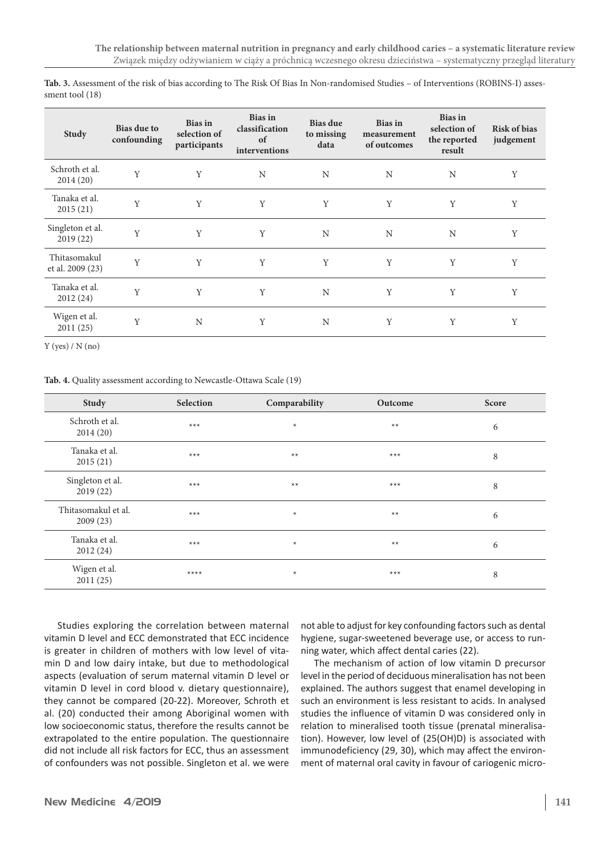| <b>Study</b>                     | <b>Bias due to</b><br>confounding | <b>Bias</b> in<br>selection of<br>participants | <b>Bias</b> in<br>classification<br>of<br>interventions | Bias due<br>to missing<br>data | <b>Bias</b> in<br>measurement<br>of outcomes | <b>Bias</b> in<br>selection of<br>the reported<br>result | <b>Risk of bias</b><br>judgement |
|----------------------------------|-----------------------------------|------------------------------------------------|---------------------------------------------------------|--------------------------------|----------------------------------------------|----------------------------------------------------------|----------------------------------|
| Schroth et al.<br>2014(20)       | Y                                 | Y                                              | N                                                       | N                              | N                                            | N                                                        | Y                                |
| Tanaka et al.<br>2015(21)        | Y                                 | Y                                              | Y                                                       | Y                              | Y                                            | Y                                                        | Y                                |
| Singleton et al.<br>2019(22)     | Y                                 | Y                                              | Y                                                       | N                              | N                                            | N                                                        | Y                                |
| Thitasomakul<br>et al. 2009 (23) | Y                                 | Y                                              | Y                                                       | Y                              | Y                                            | Y                                                        | Y                                |
| Tanaka et al.<br>2012(24)        | Y                                 | Y                                              | Y                                                       | $\mathbf N$                    | Y                                            | Y                                                        | Y                                |
| Wigen et al.<br>2011(25)         | Y                                 | N                                              | Υ                                                       | N                              | Y                                            | Y                                                        | Y                                |

**Tab. 3.** Assessment of the risk of bias according to The Risk Of Bias In Non-randomised Studies – of Interventions (ROBINS-I) assessment tool (18)

 $Y$  (yes) /  $N$  (no)

**Tab. 4.** Quality assessment according to Newcastle-Ottawa Scale (19)

| Study                           | Selection | Comparability | Outcome | Score |
|---------------------------------|-----------|---------------|---------|-------|
| Schroth et al.<br>2014(20)      | $***$     | $\ast$        | $**$    | 6     |
| Tanaka et al.<br>2015(21)       | $***$     | $**$          | $***$   | 8     |
| Singleton et al.<br>2019(22)    | $***$     | $**$          | $***$   | 8     |
| Thitasomakul et al.<br>2009(23) | $***$     | $\star$       | $**$    | 6     |
| Tanaka et al.<br>2012(24)       | $***$     | $\ast$        | $**$    | 6     |
| Wigen et al.<br>2011(25)        | $***$     | $\ast$        | $***$   | 8     |

Studies exploring the correlation between maternal vitamin D level and ECC demonstrated that ECC incidence is greater in children of mothers with low level of vitamin D and low dairy intake, but due to methodological aspects (evaluation of serum maternal vitamin D level or vitamin D level in cord blood v. dietary questionnaire), they cannot be compared (20-22). Moreover, Schroth et al. (20) conducted their among Aboriginal women with low socioeconomic status, therefore the results cannot be extrapolated to the entire population. The questionnaire did not include all risk factors for ECC, thus an assessment of confounders was not possible. Singleton et al. we were not able to adjust for key confounding factors such as dental hygiene, sugar-sweetened beverage use, or access to running water, which affect dental caries (22).

The mechanism of action of low vitamin D precursor level in the period of deciduous mineralisation has not been explained. The authors suggest that enamel developing in such an environment is less resistant to acids. In analysed studies the influence of vitamin D was considered only in relation to mineralised tooth tissue (prenatal mineralisation). However, low level of (25(OH)D) is associated with immunodeficiency (29, 30), which may affect the environment of maternal oral cavity in favour of cariogenic micro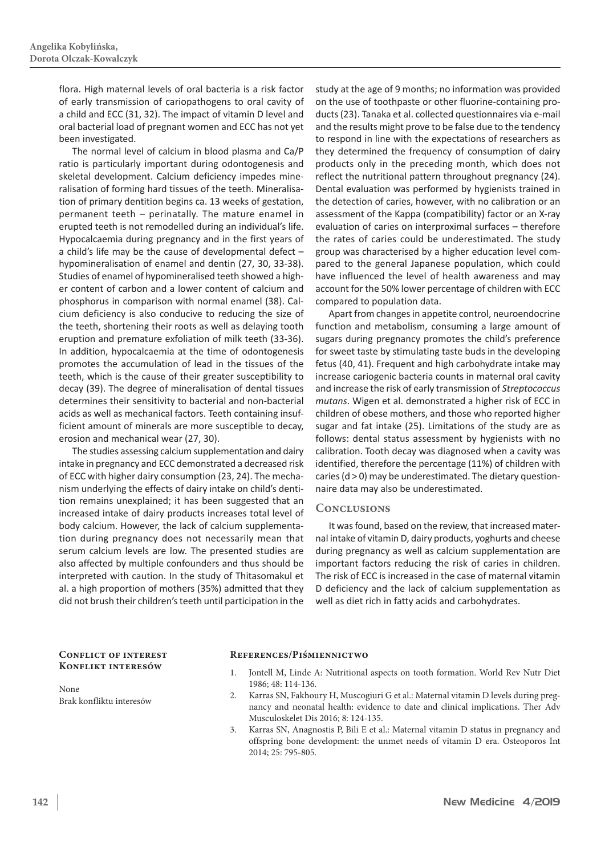flora. High maternal levels of oral bacteria is a risk factor of early transmission of cariopathogens to oral cavity of a child and ECC (31, 32). The impact of vitamin D level and oral bacterial load of pregnant women and ECC has not yet been investigated.

The normal level of calcium in blood plasma and Ca/P ratio is particularly important during odontogenesis and skeletal development. Calcium deficiency impedes mineralisation of forming hard tissues of the teeth. Mineralisation of primary dentition begins ca. 13 weeks of gestation, permanent teeth – perinatally. The mature enamel in erupted teeth is not remodelled during an individual's life. Hypocalcaemia during pregnancy and in the first years of a child's life may be the cause of developmental defect – hypomineralisation of enamel and dentin (27, 30, 33-38). Studies of enamel of hypomineralised teeth showed a higher content of carbon and a lower content of calcium and phosphorus in comparison with normal enamel (38). Calcium deficiency is also conducive to reducing the size of the teeth, shortening their roots as well as delaying tooth eruption and premature exfoliation of milk teeth (33-36). In addition, hypocalcaemia at the time of odontogenesis promotes the accumulation of lead in the tissues of the teeth, which is the cause of their greater susceptibility to decay (39). The degree of mineralisation of dental tissues determines their sensitivity to bacterial and non-bacterial acids as well as mechanical factors. Teeth containing insufficient amount of minerals are more susceptible to decay, erosion and mechanical wear (27, 30).

The studies assessing calcium supplementation and dairy intake in pregnancy and ECC demonstrated a decreased risk of ECC with higher dairy consumption (23, 24). The mechanism underlying the effects of dairy intake on child's dentition remains unexplained; it has been suggested that an increased intake of dairy products increases total level of body calcium. However, the lack of calcium supplementation during pregnancy does not necessarily mean that serum calcium levels are low. The presented studies are also affected by multiple confounders and thus should be interpreted with caution. In the study of Thitasomakul et al. a high proportion of mothers (35%) admitted that they did not brush their children's teeth until participation in the

study at the age of 9 months; no information was provided on the use of toothpaste or other fluorine-containing products(23). Tanaka et al. collected questionnaires via e-mail and the results might prove to be false due to the tendency to respond in line with the expectations of researchers as they determined the frequency of consumption of dairy products only in the preceding month, which does not reflect the nutritional pattern throughout pregnancy (24). Dental evaluation was performed by hygienists trained in the detection of caries, however, with no calibration or an assessment of the Kappa (compatibility) factor or an X-ray evaluation of caries on interproximal surfaces – therefore the rates of caries could be underestimated. The study group was characterised by a higher education level compared to the general Japanese population, which could have influenced the level of health awareness and may account for the 50% lower percentage of children with ECC compared to population data.

Apart from changes in appetite control, neuroendocrine function and metabolism, consuming a large amount of sugars during pregnancy promotes the child's preference for sweet taste by stimulating taste buds in the developing fetus (40, 41). Frequent and high carbohydrate intake may increase cariogenic bacteria counts in maternal oral cavity and increase the risk of early transmission of *Streptococcus mutans*. Wigen et al. demonstrated a higher risk of ECC in children of obese mothers, and those who reported higher sugar and fat intake (25). Limitations of the study are as follows: dental status assessment by hygienists with no calibration. Tooth decay was diagnosed when a cavity was identified, therefore the percentage (11%) of children with caries ( $d > 0$ ) may be underestimated. The dietary questionnaire data may also be underestimated.

#### **Conclusions**

It was found, based on the review, that increased maternal intake of vitamin D, dairy products, yoghurts and cheese during pregnancy as well as calcium supplementation are important factors reducing the risk of caries in children. The risk of ECC is increased in the case of maternal vitamin D deficiency and the lack of calcium supplementation as well as diet rich in fatty acids and carbohydrates.

#### **Conflict of interest Konflikt interesów**

None Brak konfliktu interesów

#### **References/Piśmiennictwo**

- 1. Jontell M, Linde A: Nutritional aspects on tooth formation. World Rev Nutr Diet 1986; 48: 114-136.
- 2. Karras SN, Fakhoury H, Muscogiuri G et al.: Maternal vitamin D levels during pregnancy and neonatal health: evidence to date and clinical implications. Ther Adv Musculoskelet Dis 2016; 8: 124-135.
- 3. Karras SN, Anagnostis P, Bili E et al.: Maternal vitamin D status in pregnancy and offspring bone development: the unmet needs of vitamin D era. Osteoporos Int 2014; 25: 795-805.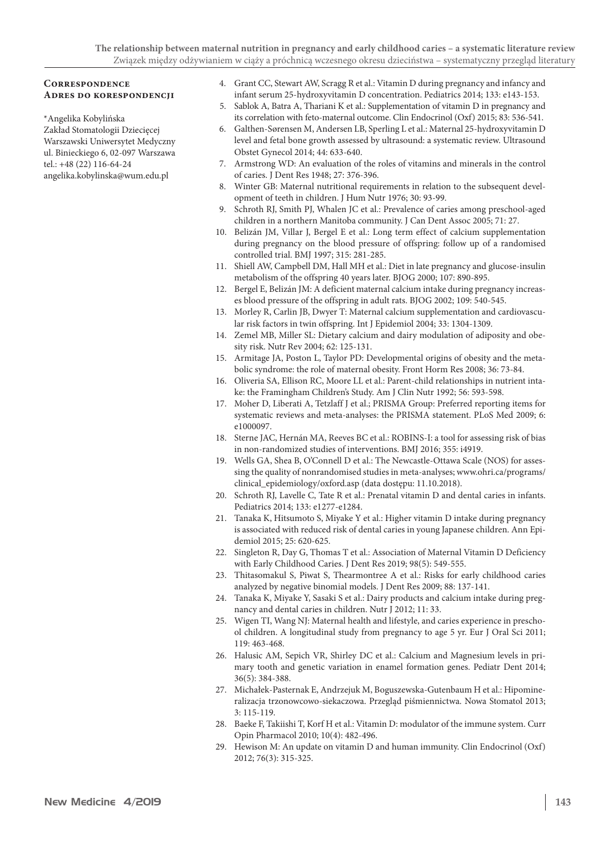#### **Correspondence Adres do korespondencji**

\*Angelika Kobylińska Zakład Stomatologii Dziecięcej Warszawski Uniwersytet Medyczny ul. Binieckiego 6, 02-097 Warszawa tel.: +48 (22) 116-64-24 angelika.kobylinska@wum.edu.pl

- 4. Grant CC, Stewart AW, Scragg R et al.: Vitamin D during pregnancy and infancy and infant serum 25-hydroxyvitamin D concentration. Pediatrics 2014; 133: e143-153.
- 5. Sablok A, Batra A, Thariani K et al.: Supplementation of vitamin D in pregnancy and its correlation with feto-maternal outcome. Clin Endocrinol (Oxf) 2015; 83: 536-541.
- 6. Galthen-Sørensen M, Andersen LB, Sperling L et al.: Maternal 25-hydroxyvitamin D level and fetal bone growth assessed by ultrasound: a systematic review. Ultrasound Obstet Gynecol 2014; 44: 633-640.
- 7. Armstrong WD: An evaluation of the roles of vitamins and minerals in the control of caries. J Dent Res 1948; 27: 376-396.
- 8. Winter GB: Maternal nutritional requirements in relation to the subsequent development of teeth in children. J Hum Nutr 1976; 30: 93-99.
- 9. Schroth RJ, Smith PJ, Whalen JC et al.: Prevalence of caries among preschool-aged children in a northern Manitoba community. J Can Dent Assoc 2005; 71: 27.
- 10. Belizán JM, Villar J, Bergel E et al.: Long term effect of calcium supplementation during pregnancy on the blood pressure of offspring: follow up of a randomised controlled trial. BMJ 1997; 315: 281-285.
- 11. Shiell AW, Campbell DM, Hall MH et al.: Diet in late pregnancy and glucose-insulin metabolism of the offspring 40 years later. BJOG 2000; 107: 890-895.
- 12. Bergel E, Belizán JM: A deficient maternal calcium intake during pregnancy increases blood pressure of the offspring in adult rats. BJOG 2002; 109: 540-545.
- 13. Morley R, Carlin JB, Dwyer T: Maternal calcium supplementation and cardiovascular risk factors in twin offspring. Int J Epidemiol 2004; 33: 1304-1309.
- 14. Zemel MB, Miller SL: Dietary calcium and dairy modulation of adiposity and obesity risk. Nutr Rev 2004; 62: 125-131.
- 15. Armitage JA, Poston L, Taylor PD: Developmental origins of obesity and the metabolic syndrome: the role of maternal obesity. Front Horm Res 2008; 36: 73-84.
- 16. Oliveria SA, Ellison RC, Moore LL et al.: Parent-child relationships in nutrient intake: the Framingham Children's Study. Am J Clin Nutr 1992; 56: 593-598.
- 17. Moher D, Liberati A, Tetzlaff J et al.; PRISMA Group: Preferred reporting items for systematic reviews and meta-analyses: the PRISMA statement. PLoS Med 2009; 6: e1000097.
- 18. Sterne JAC, Hernán MA, Reeves BC et al.: ROBINS-I: a tool for assessing risk of bias in non-randomized studies of interventions. BMJ 2016; 355: i4919.
- 19. Wells GA, Shea B, O'Connell D et al.: The Newcastle-Ottawa Scale (NOS) for assessing the quality of nonrandomised studies in meta-analyses; www.ohri.ca/programs/ clinical\_epidemiology/oxford.asp (data dostępu: 11.10.2018).
- 20. Schroth RJ, Lavelle C, Tate R et al.: Prenatal vitamin D and dental caries in infants. Pediatrics 2014; 133: e1277-e1284.
- 21. Tanaka K, Hitsumoto S, Miyake Y et al.: Higher vitamin D intake during pregnancy is associated with reduced risk of dental caries in young Japanese children. Ann Epidemiol 2015; 25: 620-625.
- 22. Singleton R, Day G, Thomas T et al.: Association of Maternal Vitamin D Deficiency with Early Childhood Caries. J Dent Res 2019; 98(5): 549-555.
- 23. Thitasomakul S, Piwat S, Thearmontree A et al.: Risks for early childhood caries analyzed by negative binomial models. J Dent Res 2009; 88: 137-141.
- 24. Tanaka K, Miyake Y, Sasaki S et al.: Dairy products and calcium intake during pregnancy and dental caries in children. Nutr J 2012; 11: 33.
- 25. Wigen TI, Wang NJ: Maternal health and lifestyle, and caries experience in preschool children. A longitudinal study from pregnancy to age 5 yr. Eur J Oral Sci 2011; 119: 463-468.
- 26. Halusic AM, Sepich VR, Shirley DC et al.: Calcium and Magnesium levels in primary tooth and genetic variation in enamel formation genes. Pediatr Dent 2014; 36(5): 384-388.
- 27. Michałek-Pasternak E, Andrzejuk M, Boguszewska-Gutenbaum H et al.: Hipomineralizacja trzonowcowo-siekaczowa. Przegląd piśmiennictwa. Nowa Stomatol 2013; 3: 115-119.
- 28. Baeke F, Takiishi T, Korf H et al.: Vitamin D: modulator of the immune system. Curr Opin Pharmacol 2010; 10(4): 482-496.
- 29. Hewison M: An update on vitamin D and human immunity. Clin Endocrinol (Oxf) 2012; 76(3): 315-325.